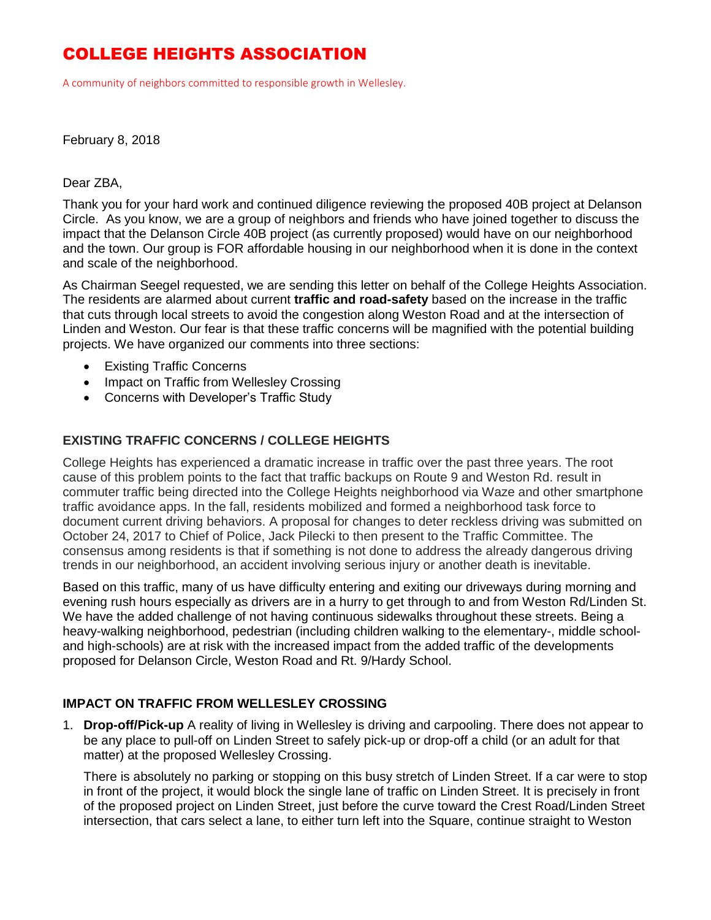### COLLEGE HEIGHTS ASSOCIATION

A community of neighbors committed to responsible growth in Wellesley.

#### February 8, 2018

#### Dear ZBA,

Thank you for your hard work and continued diligence reviewing the proposed 40B project at Delanson Circle. As you know, we are a group of neighbors and friends who have joined together to discuss the impact that the Delanson Circle 40B project (as currently proposed) would have on our neighborhood and the town. Our group is FOR affordable housing in our neighborhood when it is done in the context and scale of the neighborhood.

As Chairman Seegel requested, we are sending this letter on behalf of the College Heights Association. The residents are alarmed about current **traffic and road-safety** based on the increase in the traffic that cuts through local streets to avoid the congestion along Weston Road and at the intersection of Linden and Weston. Our fear is that these traffic concerns will be magnified with the potential building projects. We have organized our comments into three sections:

- Existing Traffic Concerns
- Impact on Traffic from Wellesley Crossing
- Concerns with Developer's Traffic Study

### **EXISTING TRAFFIC CONCERNS / COLLEGE HEIGHTS**

College Heights has experienced a dramatic increase in traffic over the past three years. The root cause of this problem points to the fact that traffic backups on Route 9 and Weston Rd. result in commuter traffic being directed into the College Heights neighborhood via Waze and other smartphone traffic avoidance apps. In the fall, residents mobilized and formed a neighborhood task force to document current driving behaviors. A proposal for changes to deter reckless driving was submitted on October 24, 2017 to Chief of Police, Jack Pilecki to then present to the Traffic Committee. The consensus among residents is that if something is not done to address the already dangerous driving trends in our neighborhood, an accident involving serious injury or another death is inevitable.

Based on this traffic, many of us have difficulty entering and exiting our driveways during morning and evening rush hours especially as drivers are in a hurry to get through to and from Weston Rd/Linden St. We have the added challenge of not having continuous sidewalks throughout these streets. Being a heavy-walking neighborhood, pedestrian (including children walking to the elementary-, middle schooland high-schools) are at risk with the increased impact from the added traffic of the developments proposed for Delanson Circle, Weston Road and Rt. 9/Hardy School.

### **IMPACT ON TRAFFIC FROM WELLESLEY CROSSING**

1. **Drop-off/Pick-up** A reality of living in Wellesley is driving and carpooling. There does not appear to be any place to pull-off on Linden Street to safely pick-up or drop-off a child (or an adult for that matter) at the proposed Wellesley Crossing.

There is absolutely no parking or stopping on this busy stretch of Linden Street. If a car were to stop in front of the project, it would block the single lane of traffic on Linden Street. It is precisely in front of the proposed project on Linden Street, just before the curve toward the Crest Road/Linden Street intersection, that cars select a lane, to either turn left into the Square, continue straight to Weston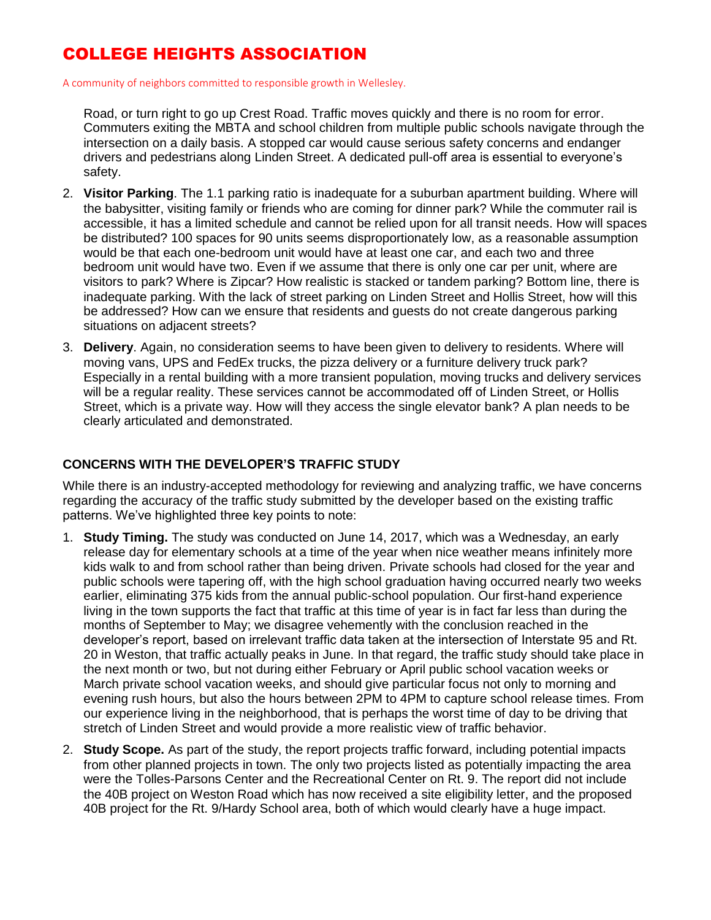# COLLEGE HEIGHTS ASSOCIATION

A community of neighbors committed to responsible growth in Wellesley.

Road, or turn right to go up Crest Road. Traffic moves quickly and there is no room for error. Commuters exiting the MBTA and school children from multiple public schools navigate through the intersection on a daily basis. A stopped car would cause serious safety concerns and endanger drivers and pedestrians along Linden Street. A dedicated pull-off area is essential to everyone's safety.

- 2. **Visitor Parking**. The 1.1 parking ratio is inadequate for a suburban apartment building. Where will the babysitter, visiting family or friends who are coming for dinner park? While the commuter rail is accessible, it has a limited schedule and cannot be relied upon for all transit needs. How will spaces be distributed? 100 spaces for 90 units seems disproportionately low, as a reasonable assumption would be that each one-bedroom unit would have at least one car, and each two and three bedroom unit would have two. Even if we assume that there is only one car per unit, where are visitors to park? Where is Zipcar? How realistic is stacked or tandem parking? Bottom line, there is inadequate parking. With the lack of street parking on Linden Street and Hollis Street, how will this be addressed? How can we ensure that residents and guests do not create dangerous parking situations on adjacent streets?
- 3. **Delivery**. Again, no consideration seems to have been given to delivery to residents. Where will moving vans, UPS and FedEx trucks, the pizza delivery or a furniture delivery truck park? Especially in a rental building with a more transient population, moving trucks and delivery services will be a regular reality. These services cannot be accommodated off of Linden Street, or Hollis Street, which is a private way. How will they access the single elevator bank? A plan needs to be clearly articulated and demonstrated.

### **CONCERNS WITH THE DEVELOPER'S TRAFFIC STUDY**

While there is an industry-accepted methodology for reviewing and analyzing traffic, we have concerns regarding the accuracy of the traffic study submitted by the developer based on the existing traffic patterns. We've highlighted three key points to note:

- 1. **Study Timing.** The study was conducted on June 14, 2017, which was a Wednesday, an early release day for elementary schools at a time of the year when nice weather means infinitely more kids walk to and from school rather than being driven. Private schools had closed for the year and public schools were tapering off, with the high school graduation having occurred nearly two weeks earlier, eliminating 375 kids from the annual public-school population. Our first-hand experience living in the town supports the fact that traffic at this time of year is in fact far less than during the months of September to May; we disagree vehemently with the conclusion reached in the developer's report, based on irrelevant traffic data taken at the intersection of Interstate 95 and Rt. 20 in Weston, that traffic actually peaks in June. In that regard, the traffic study should take place in the next month or two, but not during either February or April public school vacation weeks or March private school vacation weeks, and should give particular focus not only to morning and evening rush hours, but also the hours between 2PM to 4PM to capture school release times. From our experience living in the neighborhood, that is perhaps the worst time of day to be driving that stretch of Linden Street and would provide a more realistic view of traffic behavior.
- 2. **Study Scope.** As part of the study, the report projects traffic forward, including potential impacts from other planned projects in town. The only two projects listed as potentially impacting the area were the Tolles-Parsons Center and the Recreational Center on Rt. 9. The report did not include the 40B project on Weston Road which has now received a site eligibility letter, and the proposed 40B project for the Rt. 9/Hardy School area, both of which would clearly have a huge impact.